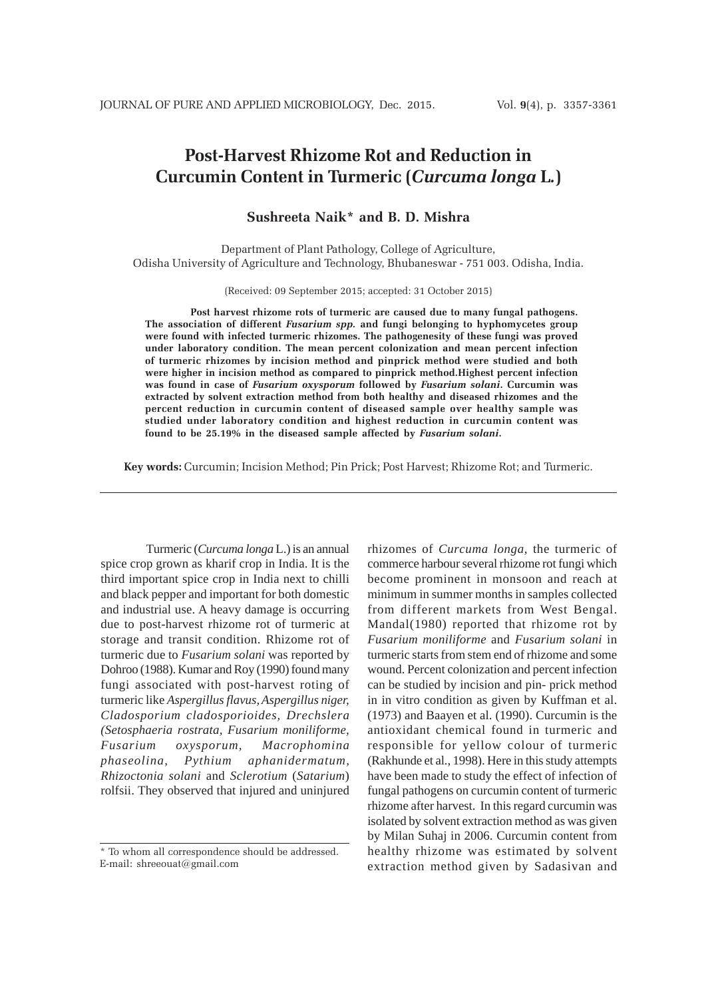# **Post-Harvest Rhizome Rot and Reduction in Curcumin Content in Turmeric (***Curcuma longa* **L***.***)**

# **Sushreeta Naik\* and B. D. Mishra**

Department of Plant Pathology, College of Agriculture, Odisha University of Agriculture and Technology, Bhubaneswar - 751 003. Odisha, India.

(Received: 09 September 2015; accepted: 31 October 2015)

**Post harvest rhizome rots of turmeric are caused due to many fungal pathogens. The association of different** *Fusarium spp.* **and fungi belonging to hyphomycetes group were found with infected turmeric rhizomes. The pathogenesity of these fungi was proved under laboratory condition. The mean percent colonization and mean percent infection of turmeric rhizomes by incision method and pinprick method were studied and both were higher in incision method as compared to pinprick method.Highest percent infection was found in case of** *Fusarium oxysporum* **followed by** *Fusarium solani***. Curcumin was extracted by solvent extraction method from both healthy and diseased rhizomes and the percent reduction in curcumin content of diseased sample over healthy sample was studied under laboratory condition and highest reduction in curcumin content was found to be 25.19% in the diseased sample affected by** *Fusarium solani***.**

**Key words:** Curcumin; Incision Method; Pin Prick; Post Harvest; Rhizome Rot; and Turmeric.

Turmeric (*Curcuma longa* L.) is an annual spice crop grown as kharif crop in India. It is the third important spice crop in India next to chilli and black pepper and important for both domestic and industrial use. A heavy damage is occurring due to post-harvest rhizome rot of turmeric at storage and transit condition. Rhizome rot of turmeric due to *Fusarium solani* was reported by Dohroo (1988). Kumar and Roy (1990) found many fungi associated with post-harvest roting of turmeric like *Aspergillus flavus, Aspergillus niger, Cladosporium cladosporioides, Drechslera (Setosphaeria rostrata, Fusarium moniliforme, Fusarium oxysporum, Macrophomina phaseolina, Pythium aphanidermatum, Rhizoctonia solani* and *Sclerotium* (*Satarium*) rolfsii. They observed that injured and uninjured

rhizomes of *Curcuma longa*, the turmeric of commerce harbour several rhizome rot fungi which become prominent in monsoon and reach at minimum in summer months in samples collected from different markets from West Bengal. Mandal(1980) reported that rhizome rot by *Fusarium moniliforme* and *Fusarium solani* in turmeric starts from stem end of rhizome and some wound. Percent colonization and percent infection can be studied by incision and pin- prick method in in vitro condition as given by Kuffman et al. (1973) and Baayen et al. (1990). Curcumin is the antioxidant chemical found in turmeric and responsible for yellow colour of turmeric (Rakhunde et al., 1998). Here in this study attempts have been made to study the effect of infection of fungal pathogens on curcumin content of turmeric rhizome after harvest. In this regard curcumin was isolated by solvent extraction method as was given by Milan Suhaj in 2006. Curcumin content from healthy rhizome was estimated by solvent extraction method given by Sadasivan and

<sup>\*</sup> To whom all correspondence should be addressed. E-mail: shreeouat@gmail.com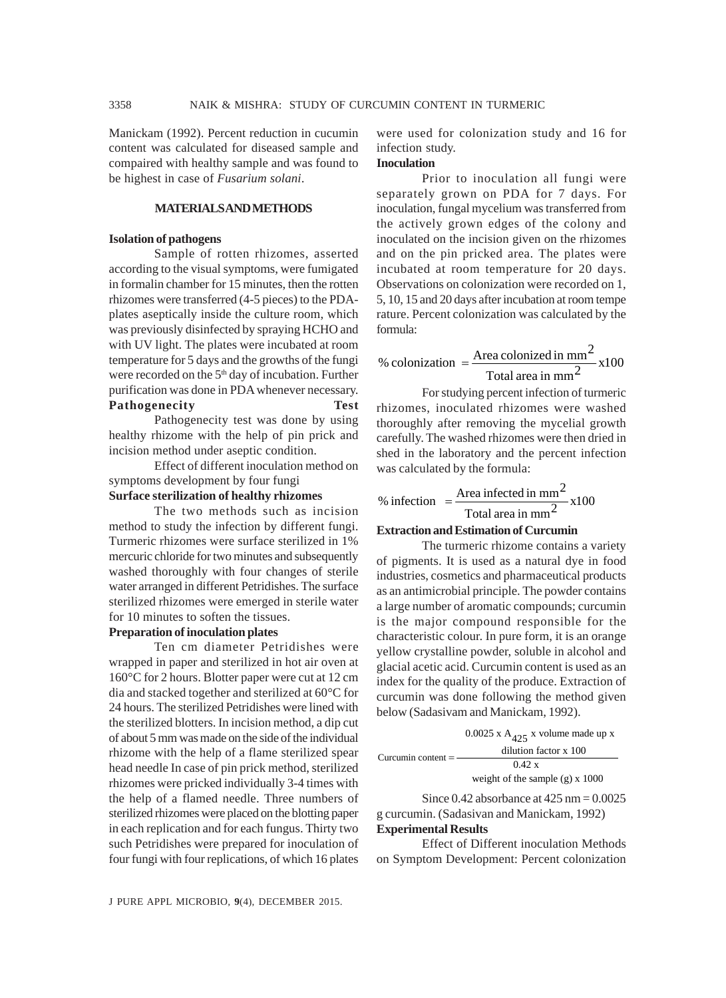Manickam (1992). Percent reduction in cucumin content was calculated for diseased sample and compaired with healthy sample and was found to be highest in case of *Fusarium solani*.

# **MATERIALS AND METHODS**

#### **Isolation of pathogens**

Sample of rotten rhizomes, asserted according to the visual symptoms, were fumigated in formalin chamber for 15 minutes, then the rotten rhizomes were transferred (4-5 pieces) to the PDAplates aseptically inside the culture room, which was previously disinfected by spraying HCHO and with UV light. The plates were incubated at room temperature for 5 days and the growths of the fungi were recorded on the 5<sup>th</sup> day of incubation. Further purification was done in PDA whenever necessary. **Pathogenecity Test**

Pathogenecity test was done by using healthy rhizome with the help of pin prick and incision method under aseptic condition.

Effect of different inoculation method on symptoms development by four fungi

# **Surface sterilization of healthy rhizomes**

The two methods such as incision method to study the infection by different fungi. Turmeric rhizomes were surface sterilized in 1% mercuric chloride for two minutes and subsequently washed thoroughly with four changes of sterile water arranged in different Petridishes. The surface sterilized rhizomes were emerged in sterile water for 10 minutes to soften the tissues.

## **Preparation of inoculation plates**

Ten cm diameter Petridishes were wrapped in paper and sterilized in hot air oven at 160°C for 2 hours. Blotter paper were cut at 12 cm dia and stacked together and sterilized at 60°C for 24 hours. The sterilized Petridishes were lined with the sterilized blotters. In incision method, a dip cut of about 5 mm was made on the side of the individual rhizome with the help of a flame sterilized spear head needle In case of pin prick method, sterilized rhizomes were pricked individually 3-4 times with the help of a flamed needle. Three numbers of sterilized rhizomes were placed on the blotting paper in each replication and for each fungus. Thirty two such Petridishes were prepared for inoculation of four fungi with four replications, of which 16 plates

were used for colonization study and 16 for infection study.

## **Inoculation**

Prior to inoculation all fungi were separately grown on PDA for 7 days. For inoculation, fungal mycelium was transferred from the actively grown edges of the colony and inoculated on the incision given on the rhizomes and on the pin pricked area. The plates were incubated at room temperature for 20 days. Observations on colonization were recorded on 1, 5, 10, 15 and 20 days after incubation at room tempe rature. Percent colonization was calculated by the formula:

 $\frac{\text{ca}}{\text{Total area in mm}^2}$  x100 % colonization =  $\frac{\text{Area } \text{colonized in } \text{mm}^2}{2}$ 

For studying percent infection of turmeric rhizomes, inoculated rhizomes were washed thoroughly after removing the mycelial growth carefully. The washed rhizomes were then dried in shed in the laboratory and the percent infection was calculated by the formula:

% infection = 
$$
\frac{\text{Area infected in mm}^2}{\text{Total area in mm}^2} \times 100
$$

#### **Extraction and Estimation of Curcumin**

The turmeric rhizome contains a variety of pigments. It is used as a natural dye in food industries, cosmetics and pharmaceutical products as an antimicrobial principle. The powder contains a large number of aromatic compounds; curcumin is the major compound responsible for the characteristic colour. In pure form, it is an orange yellow crystalline powder, soluble in alcohol and glacial acetic acid. Curcumin content is used as an index for the quality of the produce. Extraction of curcumin was done following the method given below (Sadasivam and Manickam, 1992).

| Curcumin content $=$ | $0.0025$ x A <sub><math>425</math></sub> x volume made up x |  |  |  |
|----------------------|-------------------------------------------------------------|--|--|--|
|                      | dilution factor x 100                                       |  |  |  |
|                      | 0.42 x                                                      |  |  |  |
|                      | weight of the sample $(g)$ x 1000                           |  |  |  |

Since  $0.42$  absorbance at  $425$  nm  $= 0.0025$ g curcumin. (Sadasivan and Manickam, 1992) **Experimental Results**

Effect of Different inoculation Methods on Symptom Development: Percent colonization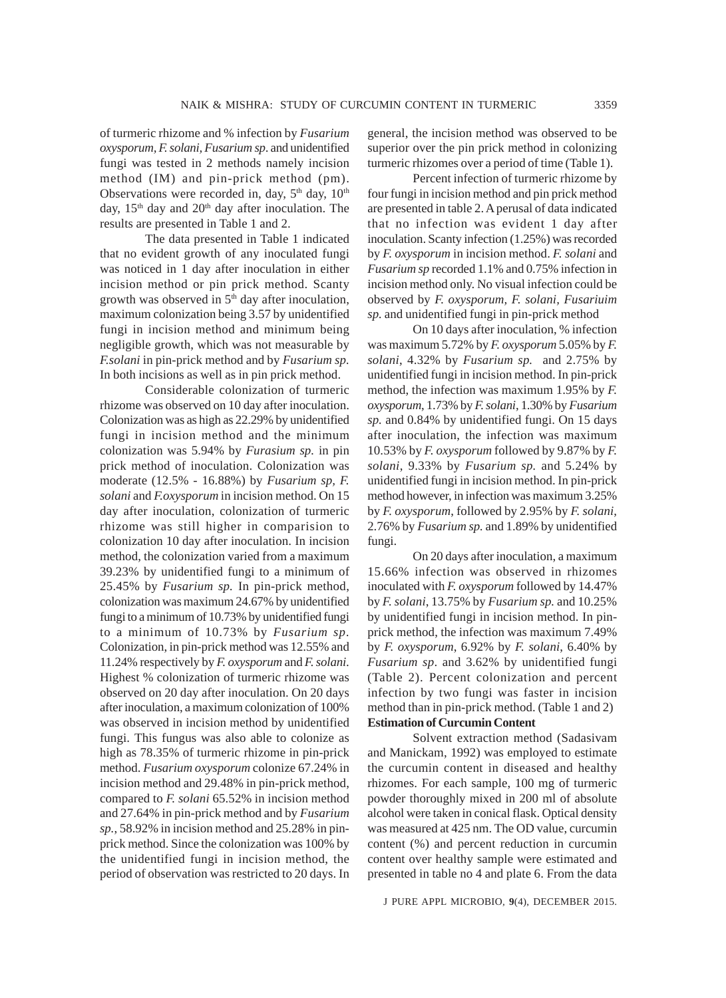of turmeric rhizome and % infection by *Fusarium oxysporum, F. solani, Fusarium sp*. and unidentified fungi was tested in 2 methods namely incision method (IM) and pin-prick method (pm). Observations were recorded in, day,  $5<sup>th</sup>$  day,  $10<sup>th</sup>$ day,  $15<sup>th</sup>$  day and  $20<sup>th</sup>$  day after inoculation. The results are presented in Table 1 and 2.

The data presented in Table 1 indicated that no evident growth of any inoculated fungi was noticed in 1 day after inoculation in either incision method or pin prick method. Scanty growth was observed in  $5<sup>th</sup>$  day after inoculation, maximum colonization being 3.57 by unidentified fungi in incision method and minimum being negligible growth, which was not measurable by *F.solani* in pin-prick method and by *Fusarium sp.* In both incisions as well as in pin prick method.

Considerable colonization of turmeric rhizome was observed on 10 day after inoculation. Colonization was as high as 22.29% by unidentified fungi in incision method and the minimum colonization was 5.94% by *Furasium sp.* in pin prick method of inoculation. Colonization was moderate (12.5% - 16.88%) by *Fusarium sp, F. solani* and *F.oxysporum* in incision method. On 15 day after inoculation, colonization of turmeric rhizome was still higher in comparision to colonization 10 day after inoculation. In incision method, the colonization varied from a maximum 39.23% by unidentified fungi to a minimum of 25.45% by *Fusarium sp.* In pin-prick method, colonization was maximum 24.67% by unidentified fungi to a minimum of 10.73% by unidentified fungi to a minimum of 10.73% by *Fusarium sp.* Colonization, in pin-prick method was 12.55% and 11.24% respectively by *F. oxysporum* and *F. solani*. Highest % colonization of turmeric rhizome was observed on 20 day after inoculation. On 20 days after inoculation, a maximum colonization of 100% was observed in incision method by unidentified fungi. This fungus was also able to colonize as high as 78.35% of turmeric rhizome in pin-prick method. *Fusarium oxysporum* colonize 67.24% in incision method and 29.48% in pin-prick method, compared to *F. solani* 65.52% in incision method and 27.64% in pin-prick method and by *Fusarium sp.*, 58.92% in incision method and 25.28% in pinprick method. Since the colonization was 100% by the unidentified fungi in incision method, the period of observation was restricted to 20 days. In general, the incision method was observed to be superior over the pin prick method in colonizing turmeric rhizomes over a period of time (Table 1).

Percent infection of turmeric rhizome by four fungi in incision method and pin prick method are presented in table 2. A perusal of data indicated that no infection was evident 1 day after inoculation. Scanty infection (1.25%) was recorded by *F. oxysporum* in incision method. *F. solani* and *Fusarium sp* recorded 1.1% and 0.75% infection in incision method only. No visual infection could be observed by *F. oxysporum, F. solani, Fusariuim sp.* and unidentified fungi in pin-prick method

On 10 days after inoculation, % infection was maximum 5.72% by *F. oxysporum* 5.05% by *F. solani*, 4.32% by *Fusarium sp.* and 2.75% by unidentified fungi in incision method. In pin-prick method, the infection was maximum 1.95% by *F. oxysporum*, 1.73% by *F. solani*, 1.30% by *Fusarium sp.* and 0.84% by unidentified fungi. On 15 days after inoculation, the infection was maximum 10.53% by *F. oxysporum* followed by 9.87% by *F. solani*, 9.33% by *Fusarium sp.* and 5.24% by unidentified fungi in incision method. In pin-prick method however, in infection was maximum 3.25% by *F. oxysporum*, followed by 2.95% by *F. solani*, 2.76% by *Fusarium sp.* and 1.89% by unidentified fungi.

On 20 days after inoculation, a maximum 15.66% infection was observed in rhizomes inoculated with *F. oxysporum* followed by 14.47% by *F. solani*, 13.75% by *Fusarium sp.* and 10.25% by unidentified fungi in incision method. In pinprick method, the infection was maximum 7.49% by *F. oxysporum*, 6.92% by *F. solani*, 6.40% by *Fusarium sp*. and 3.62% by unidentified fungi (Table 2). Percent colonization and percent infection by two fungi was faster in incision method than in pin-prick method. (Table 1 and 2) **Estimation of Curcumin Content**

Solvent extraction method (Sadasivam and Manickam, 1992) was employed to estimate the curcumin content in diseased and healthy rhizomes. For each sample, 100 mg of turmeric powder thoroughly mixed in 200 ml of absolute alcohol were taken in conical flask. Optical density was measured at 425 nm. The OD value, curcumin content (%) and percent reduction in curcumin content over healthy sample were estimated and presented in table no 4 and plate 6. From the data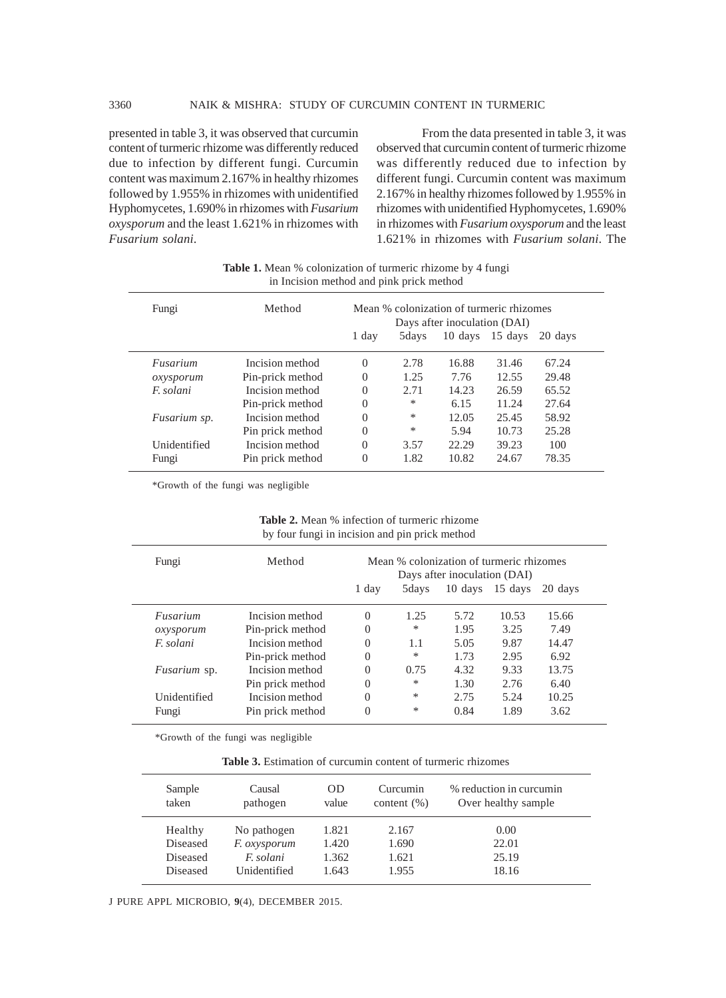presented in table 3, it was observed that curcumin content of turmeric rhizome was differently reduced due to infection by different fungi. Curcumin content was maximum 2.167% in healthy rhizomes followed by 1.955% in rhizomes with unidentified Hyphomycetes, 1.690% in rhizomes with *Fusarium oxysporum* and the least 1.621% in rhizomes with *Fusarium solani*.

From the data presented in table 3, it was observed that curcumin content of turmeric rhizome was differently reduced due to infection by different fungi. Curcumin content was maximum 2.167% in healthy rhizomes followed by 1.955% in rhizomes with unidentified Hyphomycetes, 1.690% in rhizomes with *Fusarium oxysporum* and the least 1.621% in rhizomes with *Fusarium solani*. The

**Table 1.** Mean % colonization of turmeric rhizome by 4 fungi in Incision method and pink prick method

| Fungi     |              | Method           | 1 day    | Mean % colonization of turmeric rhizomes<br>Days after inoculation (DAI)<br>15 days<br>10 days<br>5days<br>20 days |       |       |       |  |
|-----------|--------------|------------------|----------|--------------------------------------------------------------------------------------------------------------------|-------|-------|-------|--|
|           |              |                  |          |                                                                                                                    |       |       |       |  |
| Fusarium  |              | Incision method  | $\Omega$ | 2.78                                                                                                               | 16.88 | 31.46 | 67.24 |  |
| oxysporum |              | Pin-prick method | $\Omega$ | 1.25                                                                                                               | 7.76  | 12.55 | 29.48 |  |
| F. solani |              | Incision method  | $\Omega$ | 2.71                                                                                                               | 14.23 | 26.59 | 65.52 |  |
|           |              | Pin-prick method | 0        | $\ast$                                                                                                             | 6.15  | 11.24 | 27.64 |  |
|           | Fusarium sp. | Incision method  | $\Omega$ | $\ast$                                                                                                             | 12.05 | 25.45 | 58.92 |  |
|           |              | Pin prick method | $\Omega$ | *                                                                                                                  | 5.94  | 10.73 | 25.28 |  |
|           | Unidentified | Incision method  | $\Omega$ | 3.57                                                                                                               | 22.29 | 39.23 | 100   |  |
| Fungi     |              | Pin prick method | $\Omega$ | 1.82                                                                                                               | 10.82 | 24.67 | 78.35 |  |

\*Growth of the fungi was negligible

**Table 2.** Mean % infection of turmeric rhizome by four fungi in incision and pin prick method

| Fungi               | Method           | Mean % colonization of turmeric rhizomes<br>Days after inoculation (DAI) |        |         |         |         |
|---------------------|------------------|--------------------------------------------------------------------------|--------|---------|---------|---------|
|                     |                  | 1 day                                                                    | 5 days | 10 days | 15 days | 20 days |
| Fusarium            | Incision method  | $\Omega$                                                                 | 1.25   | 5.72    | 10.53   | 15.66   |
| oxysporum           | Pin-prick method | $\Omega$                                                                 | *      | 1.95    | 3.25    | 7.49    |
| <i>F.</i> solani    | Incision method  | $\Omega$                                                                 | 1.1    | 5.05    | 9.87    | 14.47   |
|                     | Pin-prick method | $\Omega$                                                                 | *      | 1.73    | 2.95    | 6.92    |
| <i>Fusarium</i> sp. | Incision method  | $\Omega$                                                                 | 0.75   | 4.32    | 9.33    | 13.75   |
|                     | Pin prick method | $\Omega$                                                                 | *      | 1.30    | 2.76    | 6.40    |
| Unidentified        | Incision method  | $\Omega$                                                                 | *      | 2.75    | 5.24    | 10.25   |
| Fungi               | Pin prick method | $\Omega$                                                                 | *      | 0.84    | 1.89    | 3.62    |

\*Growth of the fungi was negligible

**Table 3.** Estimation of curcumin content of turmeric rhizomes

| Sample<br>taken | Causal<br>pathogen  | OD<br>value | Curcumin<br>content $(\%)$ | % reduction in curcumin<br>Over healthy sample |
|-----------------|---------------------|-------------|----------------------------|------------------------------------------------|
| Healthy         | No pathogen         | 1.821       | 2.167                      | 0.00                                           |
| Diseased        | <i>F. oxysporum</i> | 1.420       | 1.690                      | 22.01                                          |
| Diseased        | F. solani           | 1.362       | 1.621                      | 25.19                                          |
| Diseased        | Unidentified        | 1.643       | 1.955                      | 18.16                                          |

J PURE APPL MICROBIO*,* **9**(4), DECEMBER 2015.